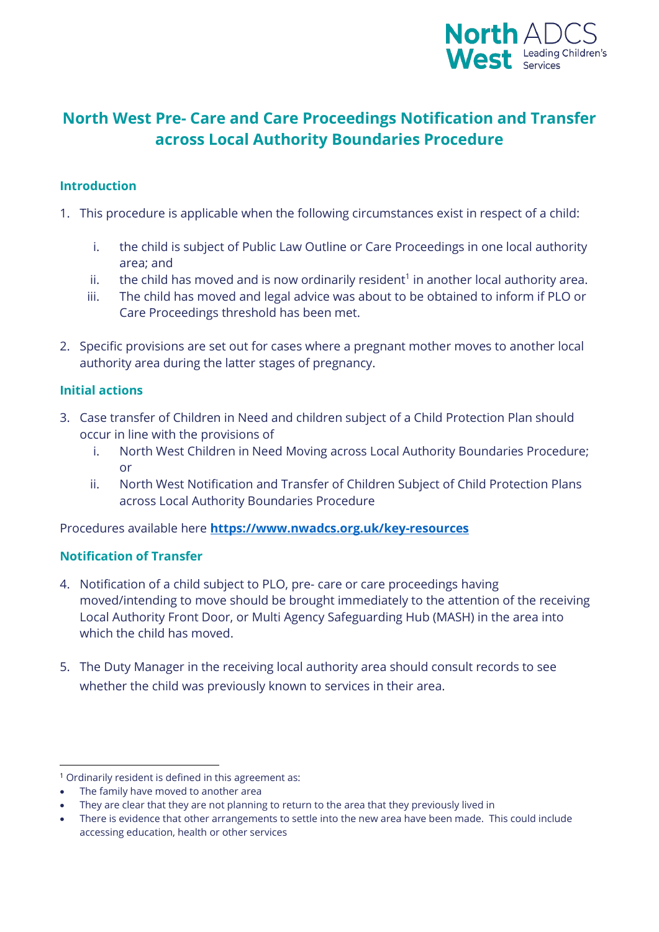

# **North West Pre- Care and Care Proceedings Notification and Transfer across Local Authority Boundaries Procedure**

# **Introduction**

- 1. This procedure is applicable when the following circumstances exist in respect of a child:
	- i. the child is subject of Public Law Outline or Care Proceedings in one local authority area; and
	- ii. the child has moved and is now ordinarily resident<sup>1</sup> in another local authority area.
	- iii. The child has moved and legal advice was about to be obtained to inform if PLO or Care Proceedings threshold has been met.
- 2. Specific provisions are set out for cases where a pregnant mother moves to another local authority area during the latter stages of pregnancy.

# **Initial actions**

- 3. Case transfer of Children in Need and children subject of a Child Protection Plan should occur in line with the provisions of
	- i. North West Children in Need Moving across Local Authority Boundaries Procedure; or
	- ii. North West Notification and Transfer of Children Subject of Child Protection Plans across Local Authority Boundaries Procedure

Procedures available here **<https://www.nwadcs.org.uk/key-resources>**

#### **Notification of Transfer**

- 4. Notification of a child subject to PLO, pre- care or care proceedings having moved/intending to move should be brought immediately to the attention of the receiving Local Authority Front Door, or Multi Agency Safeguarding Hub (MASH) in the area into which the child has moved.
- 5. The Duty Manager in the receiving local authority area should consult records to see whether the child was previously known to services in their area.

 $\overline{a}$ <sup>1</sup> Ordinarily resident is defined in this agreement as:

<sup>•</sup> The family have moved to another area

<sup>•</sup> They are clear that they are not planning to return to the area that they previously lived in

<sup>•</sup> There is evidence that other arrangements to settle into the new area have been made. This could include accessing education, health or other services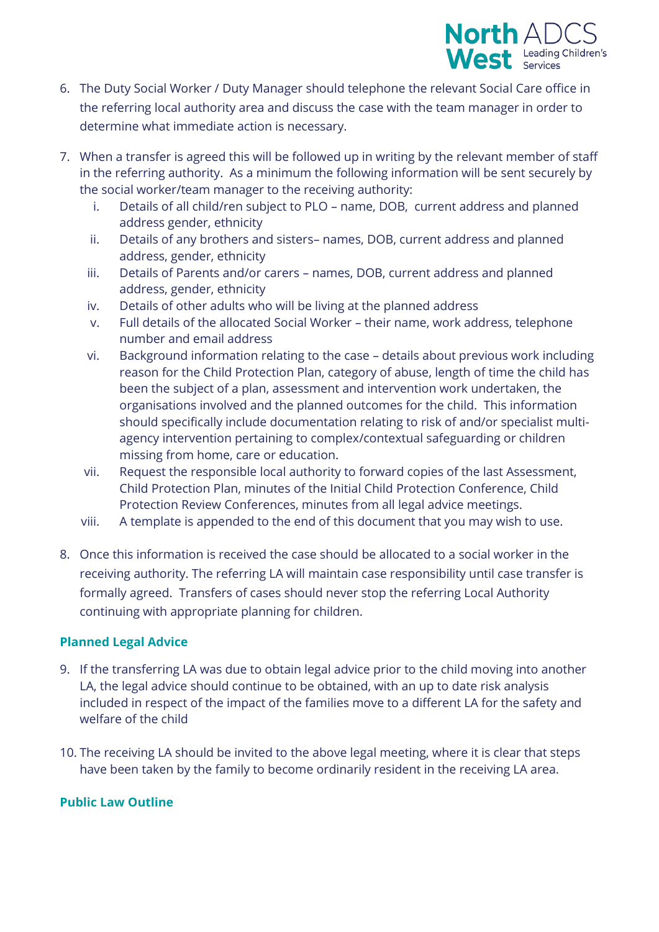

- 6. The Duty Social Worker / Duty Manager should telephone the relevant Social Care office in the referring local authority area and discuss the case with the team manager in order to determine what immediate action is necessary.
- 7. When a transfer is agreed this will be followed up in writing by the relevant member of staff in the referring authority. As a minimum the following information will be sent securely by the social worker/team manager to the receiving authority:
	- i. Details of all child/ren subject to PLO name, DOB, current address and planned address gender, ethnicity
	- ii. Details of any brothers and sisters– names, DOB, current address and planned address, gender, ethnicity
	- iii. Details of Parents and/or carers names, DOB, current address and planned address, gender, ethnicity
	- iv. Details of other adults who will be living at the planned address
	- v. Full details of the allocated Social Worker their name, work address, telephone number and email address
	- vi. Background information relating to the case details about previous work including reason for the Child Protection Plan, category of abuse, length of time the child has been the subject of a plan, assessment and intervention work undertaken, the organisations involved and the planned outcomes for the child. This information should specifically include documentation relating to risk of and/or specialist multiagency intervention pertaining to complex/contextual safeguarding or children missing from home, care or education.
	- vii. Request the responsible local authority to forward copies of the last Assessment, Child Protection Plan, minutes of the Initial Child Protection Conference, Child Protection Review Conferences, minutes from all legal advice meetings.
	- viii. A template is appended to the end of this document that you may wish to use.
- 8. Once this information is received the case should be allocated to a social worker in the receiving authority. The referring LA will maintain case responsibility until case transfer is formally agreed. Transfers of cases should never stop the referring Local Authority continuing with appropriate planning for children.

# **Planned Legal Advice**

- 9. If the transferring LA was due to obtain legal advice prior to the child moving into another LA, the legal advice should continue to be obtained, with an up to date risk analysis included in respect of the impact of the families move to a different LA for the safety and welfare of the child
- 10. The receiving LA should be invited to the above legal meeting, where it is clear that steps have been taken by the family to become ordinarily resident in the receiving LA area.

# **Public Law Outline**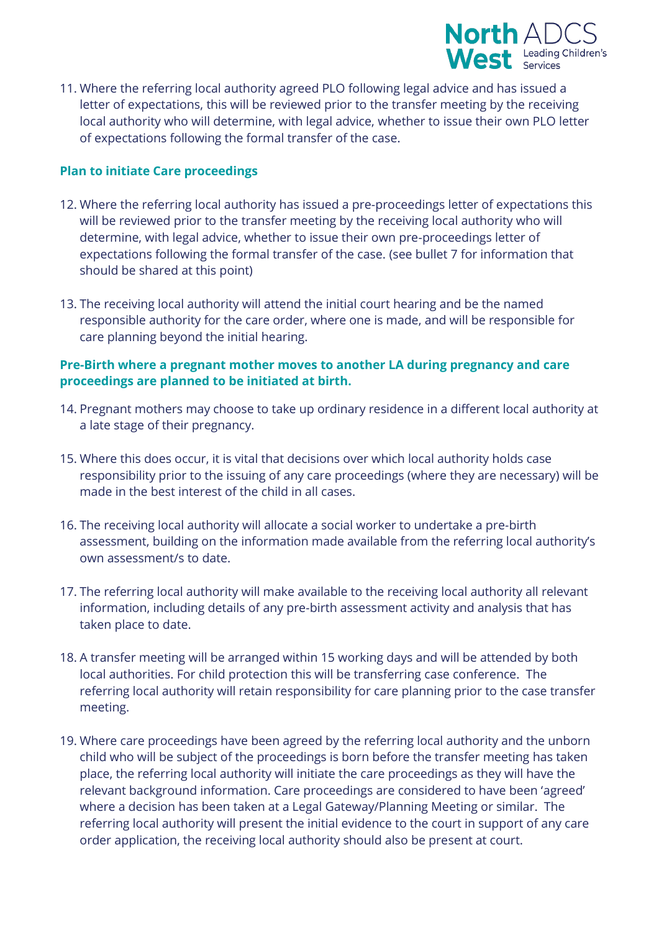

11. Where the referring local authority agreed PLO following legal advice and has issued a letter of expectations, this will be reviewed prior to the transfer meeting by the receiving local authority who will determine, with legal advice, whether to issue their own PLO letter of expectations following the formal transfer of the case.

# **Plan to initiate Care proceedings**

- 12. Where the referring local authority has issued a pre-proceedings letter of expectations this will be reviewed prior to the transfer meeting by the receiving local authority who will determine, with legal advice, whether to issue their own pre-proceedings letter of expectations following the formal transfer of the case. (see bullet 7 for information that should be shared at this point)
- 13. The receiving local authority will attend the initial court hearing and be the named responsible authority for the care order, where one is made, and will be responsible for care planning beyond the initial hearing.

# **Pre-Birth where a pregnant mother moves to another LA during pregnancy and care proceedings are planned to be initiated at birth.**

- 14. Pregnant mothers may choose to take up ordinary residence in a different local authority at a late stage of their pregnancy.
- 15. Where this does occur, it is vital that decisions over which local authority holds case responsibility prior to the issuing of any care proceedings (where they are necessary) will be made in the best interest of the child in all cases.
- 16. The receiving local authority will allocate a social worker to undertake a pre-birth assessment, building on the information made available from the referring local authority's own assessment/s to date.
- 17. The referring local authority will make available to the receiving local authority all relevant information, including details of any pre-birth assessment activity and analysis that has taken place to date.
- 18. A transfer meeting will be arranged within 15 working days and will be attended by both local authorities. For child protection this will be transferring case conference. The referring local authority will retain responsibility for care planning prior to the case transfer meeting.
- 19. Where care proceedings have been agreed by the referring local authority and the unborn child who will be subject of the proceedings is born before the transfer meeting has taken place, the referring local authority will initiate the care proceedings as they will have the relevant background information. Care proceedings are considered to have been 'agreed' where a decision has been taken at a Legal Gateway/Planning Meeting or similar. The referring local authority will present the initial evidence to the court in support of any care order application, the receiving local authority should also be present at court.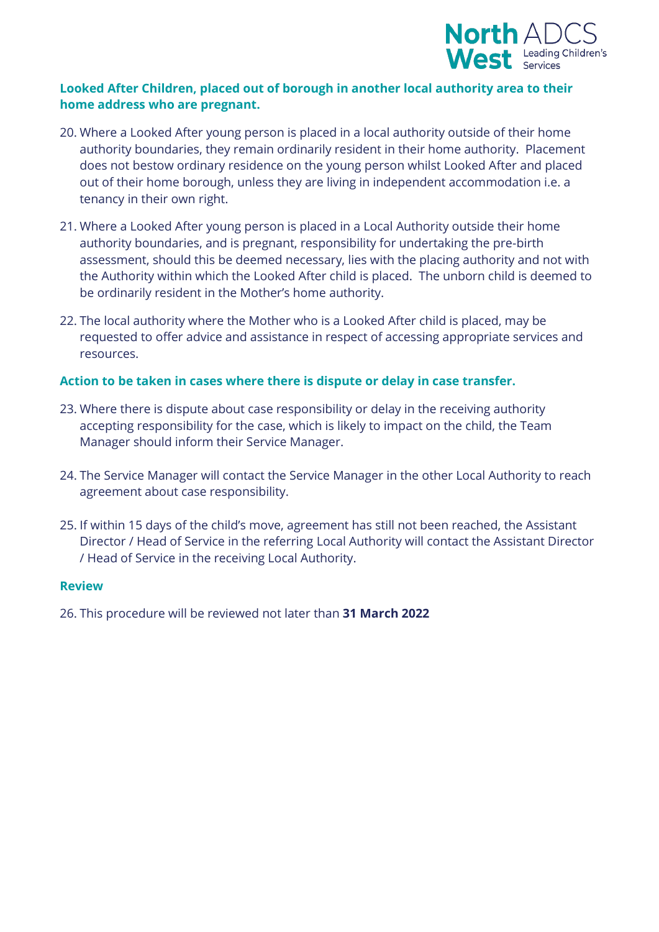

# **Looked After Children, placed out of borough in another local authority area to their home address who are pregnant.**

- 20. Where a Looked After young person is placed in a local authority outside of their home authority boundaries, they remain ordinarily resident in their home authority. Placement does not bestow ordinary residence on the young person whilst Looked After and placed out of their home borough, unless they are living in independent accommodation i.e. a tenancy in their own right.
- 21. Where a Looked After young person is placed in a Local Authority outside their home authority boundaries, and is pregnant, responsibility for undertaking the pre-birth assessment, should this be deemed necessary, lies with the placing authority and not with the Authority within which the Looked After child is placed. The unborn child is deemed to be ordinarily resident in the Mother's home authority.
- 22. The local authority where the Mother who is a Looked After child is placed, may be requested to offer advice and assistance in respect of accessing appropriate services and resources.

#### **Action to be taken in cases where there is dispute or delay in case transfer.**

- 23. Where there is dispute about case responsibility or delay in the receiving authority accepting responsibility for the case, which is likely to impact on the child, the Team Manager should inform their Service Manager.
- 24. The Service Manager will contact the Service Manager in the other Local Authority to reach agreement about case responsibility.
- 25. If within 15 days of the child's move, agreement has still not been reached, the Assistant Director / Head of Service in the referring Local Authority will contact the Assistant Director / Head of Service in the receiving Local Authority.

#### **Review**

26. This procedure will be reviewed not later than **31 March 2022**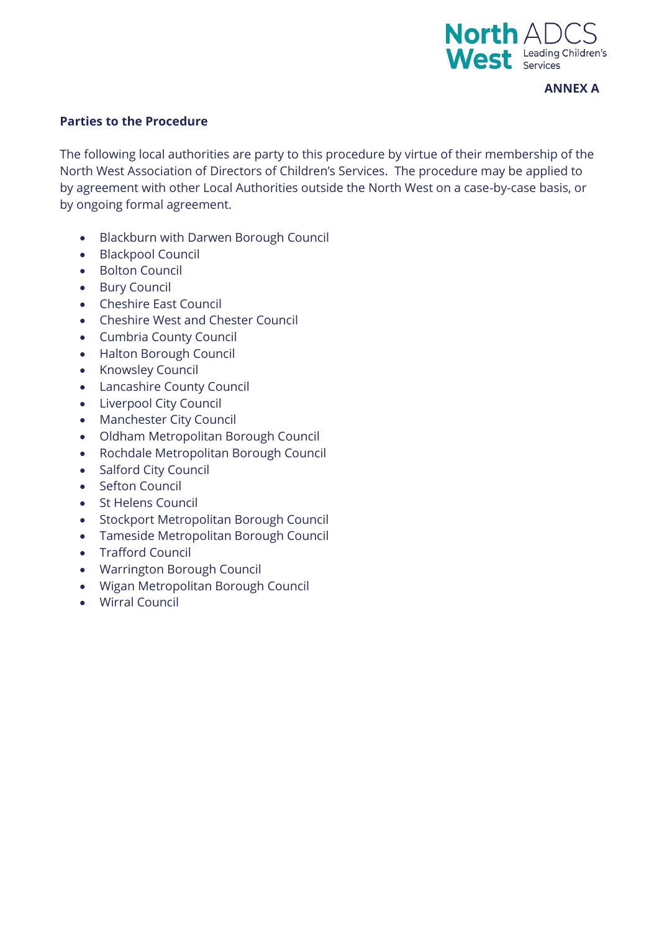

#### **ANNEX A**

#### **Parties to the Procedure**

The following local authorities are party to this procedure by virtue of their membership of the North West Association of Directors of Children's Services. The procedure may be applied to by agreement with other Local Authorities outside the North West on a case-by-case basis, or by ongoing formal agreement.

- Blackburn with Darwen Borough Council
- Blackpool Council
- Bolton Council
- Bury Council
- Cheshire East Council
- Cheshire West and Chester Council
- Cumbria County Council
- Halton Borough Council
- Knowsley Council
- Lancashire County Council
- Liverpool City Council
- Manchester City Council
- Oldham Metropolitan Borough Council
- Rochdale Metropolitan Borough Council
- Salford City Council
- Sefton Council
- St Helens Council
- Stockport Metropolitan Borough Council
- Tameside Metropolitan Borough Council
- Trafford Council
- Warrington Borough Council
- Wigan Metropolitan Borough Council
- Wirral Council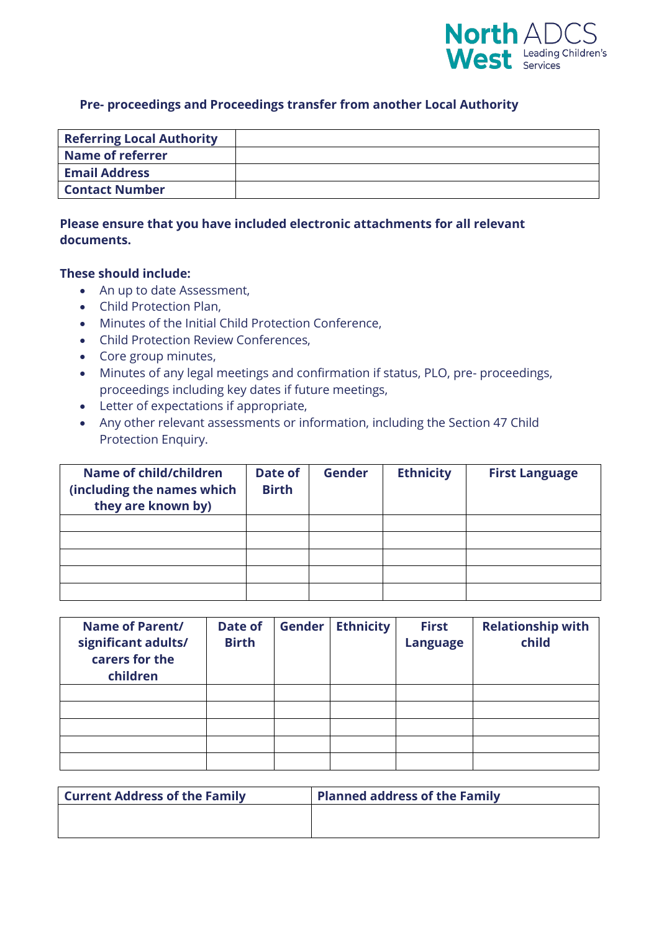

#### **Pre- proceedings and Proceedings transfer from another Local Authority**

| <b>Referring Local Authority</b> |  |
|----------------------------------|--|
| <b>Name of referrer</b>          |  |
| <b>Email Address</b>             |  |
| <b>Contact Number</b>            |  |

# **Please ensure that you have included electronic attachments for all relevant documents.**

#### **These should include:**

- An up to date Assessment,
- Child Protection Plan,
- Minutes of the Initial Child Protection Conference,
- Child Protection Review Conferences,
- Core group minutes,
- Minutes of any legal meetings and confirmation if status, PLO, pre- proceedings, proceedings including key dates if future meetings,
- Letter of expectations if appropriate,
- Any other relevant assessments or information, including the Section 47 Child Protection Enquiry.

| Name of child/children<br>(including the names which<br>they are known by) | Date of<br><b>Birth</b> | <b>Gender</b> | <b>Ethnicity</b> | <b>First Language</b> |
|----------------------------------------------------------------------------|-------------------------|---------------|------------------|-----------------------|
|                                                                            |                         |               |                  |                       |
|                                                                            |                         |               |                  |                       |
|                                                                            |                         |               |                  |                       |
|                                                                            |                         |               |                  |                       |
|                                                                            |                         |               |                  |                       |

| <b>Name of Parent/</b><br>significant adults/<br>carers for the<br>children | Date of<br><b>Birth</b> | <b>Gender</b> | <b>Ethnicity</b> | <b>First</b><br><b>Language</b> | <b>Relationship with</b><br>child |
|-----------------------------------------------------------------------------|-------------------------|---------------|------------------|---------------------------------|-----------------------------------|
|                                                                             |                         |               |                  |                                 |                                   |
|                                                                             |                         |               |                  |                                 |                                   |
|                                                                             |                         |               |                  |                                 |                                   |
|                                                                             |                         |               |                  |                                 |                                   |
|                                                                             |                         |               |                  |                                 |                                   |

| <b>Current Address of the Family</b> | <b>Planned address of the Family</b> |
|--------------------------------------|--------------------------------------|
|                                      |                                      |
|                                      |                                      |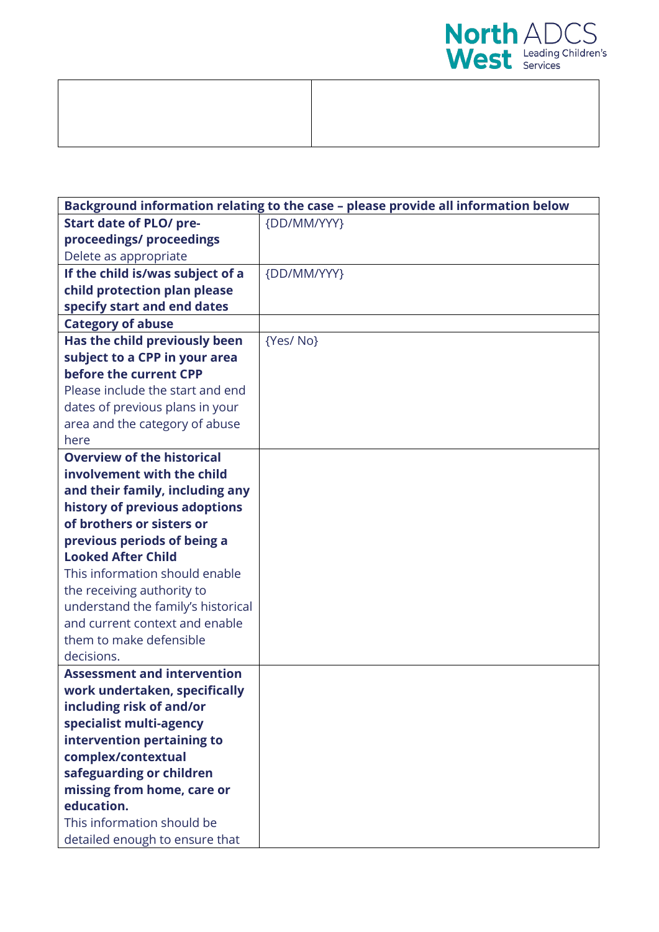

| Background information relating to the case - please provide all information below |             |  |
|------------------------------------------------------------------------------------|-------------|--|
| <b>Start date of PLO/ pre-</b>                                                     | {DD/MM/YYY} |  |
| proceedings/ proceedings                                                           |             |  |
| Delete as appropriate                                                              |             |  |
| If the child is/was subject of a                                                   | {DD/MM/YYY} |  |
| child protection plan please                                                       |             |  |
| specify start and end dates                                                        |             |  |
| <b>Category of abuse</b>                                                           |             |  |
| Has the child previously been                                                      | {Yes/ No}   |  |
| subject to a CPP in your area                                                      |             |  |
| before the current CPP                                                             |             |  |
| Please include the start and end                                                   |             |  |
| dates of previous plans in your                                                    |             |  |
| area and the category of abuse                                                     |             |  |
| here                                                                               |             |  |
| <b>Overview of the historical</b>                                                  |             |  |
| involvement with the child                                                         |             |  |
| and their family, including any                                                    |             |  |
| history of previous adoptions                                                      |             |  |
| of brothers or sisters or                                                          |             |  |
| previous periods of being a                                                        |             |  |
| <b>Looked After Child</b>                                                          |             |  |
| This information should enable                                                     |             |  |
| the receiving authority to                                                         |             |  |
| understand the family's historical                                                 |             |  |
| and current context and enable                                                     |             |  |
| them to make defensible                                                            |             |  |
| decisions.                                                                         |             |  |
| <b>Assessment and intervention</b>                                                 |             |  |
| work undertaken, specifically                                                      |             |  |
| including risk of and/or                                                           |             |  |
| specialist multi-agency                                                            |             |  |
| intervention pertaining to                                                         |             |  |
| complex/contextual                                                                 |             |  |
| safeguarding or children                                                           |             |  |
| missing from home, care or                                                         |             |  |
| education.                                                                         |             |  |
| This information should be                                                         |             |  |
| detailed enough to ensure that                                                     |             |  |